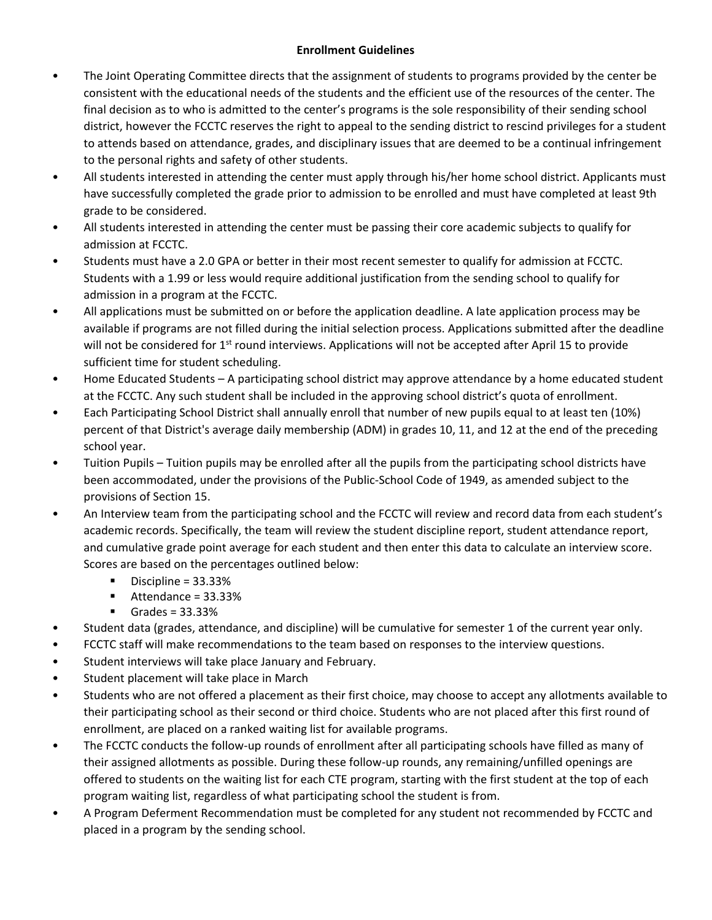## **Enrollment Guidelines**

- The Joint Operating Committee directs that the assignment of students to programs provided by the center be consistent with the educational needs of the students and the efficient use of the resources of the center. The final decision as to who is admitted to the center's programs is the sole responsibility of their sending school district, however the FCCTC reserves the right to appeal to the sending district to rescind privileges for a student to attends based on attendance, grades, and disciplinary issues that are deemed to be a continual infringement to the personal rights and safety of other students.
- All students interested in attending the center must apply through his/her home school district. Applicants must have successfully completed the grade prior to admission to be enrolled and must have completed at least 9th grade to be considered.
- All students interested in attending the center must be passing their core academic subjects to qualify for admission at FCCTC.
- Students must have a 2.0 GPA or better in their most recent semester to qualify for admission at FCCTC. Students with a 1.99 or less would require additional justification from the sending school to qualify for admission in a program at the FCCTC.
- All applications must be submitted on or before the application deadline. A late application process may be available if programs are not filled during the initial selection process. Applications submitted after the deadline will not be considered for 1<sup>st</sup> round interviews. Applications will not be accepted after April 15 to provide sufficient time for student scheduling.
- Home Educated Students A participating school district may approve attendance by a home educated student at the FCCTC. Any such student shall be included in the approving school district's quota of enrollment.
- Each Participating School District shall annually enroll that number of new pupils equal to at least ten (10%) percent of that District's average daily membership (ADM) in grades 10, 11, and 12 at the end of the preceding school year.
- Tuition Pupils Tuition pupils may be enrolled after all the pupils from the participating school districts have been accommodated, under the provisions of the Public-School Code of 1949, as amended subject to the provisions of Section 15.
- An Interview team from the participating school and the FCCTC will review and record data from each student's academic records. Specifically, the team will review the student discipline report, student attendance report, and cumulative grade point average for each student and then enter this data to calculate an interview score. Scores are based on the percentages outlined below:
	- Discipline =  $33.33%$
	- Attendance = 33.33%
	- $\blacksquare$  Grades = 33.33%
- Student data (grades, attendance, and discipline) will be cumulative for semester 1 of the current year only.
- FCCTC staff will make recommendations to the team based on responses to the interview questions.
- Student interviews will take place January and February.
- Student placement will take place in March
- Students who are not offered a placement as their first choice, may choose to accept any allotments available to their participating school as their second or third choice. Students who are not placed after this first round of enrollment, are placed on a ranked waiting list for available programs.
- The FCCTC conducts the follow-up rounds of enrollment after all participating schools have filled as many of their assigned allotments as possible. During these follow-up rounds, any remaining/unfilled openings are offered to students on the waiting list for each CTE program, starting with the first student at the top of each program waiting list, regardless of what participating school the student is from.
- A Program Deferment Recommendation must be completed for any student not recommended by FCCTC and placed in a program by the sending school.